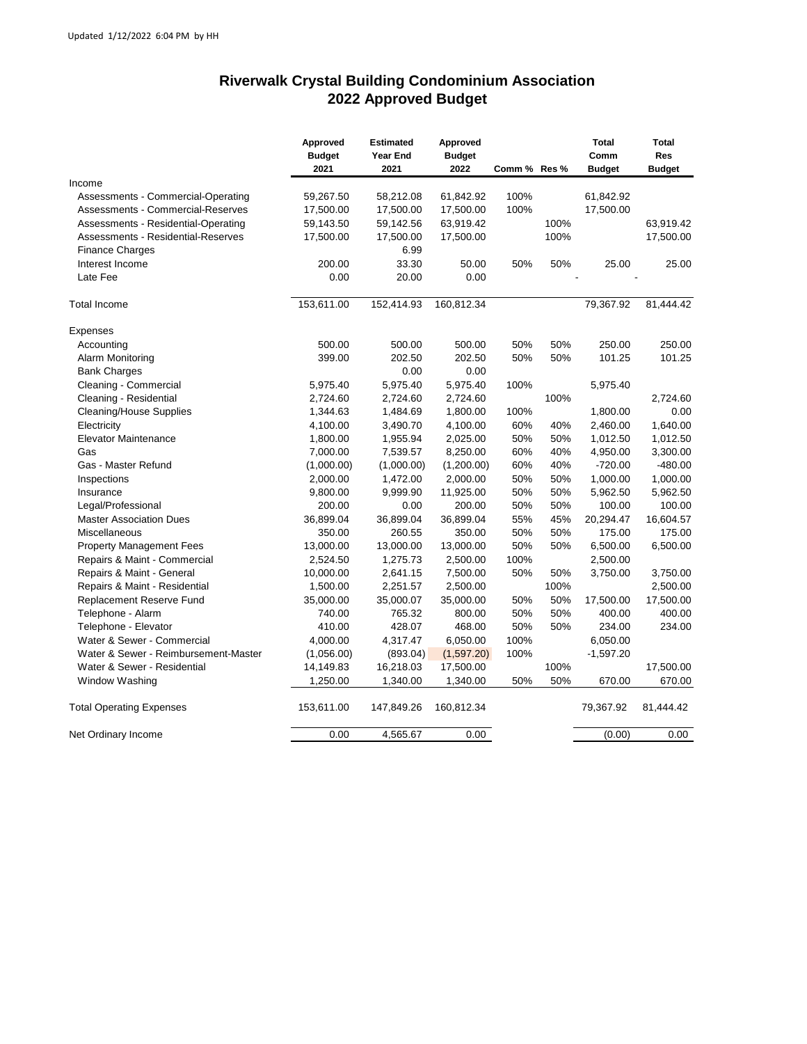## **Riverwalk Crystal Building Condominium Association 2022 Approved Budget**

|                                      | Approved<br><b>Budget</b><br>2021 | <b>Estimated</b><br>Year End<br>2021 | Approved<br><b>Budget</b><br>2022 | Comm % Res % |      | <b>Total</b><br>Comm<br><b>Budget</b> | <b>Total</b><br><b>Res</b><br><b>Budget</b> |
|--------------------------------------|-----------------------------------|--------------------------------------|-----------------------------------|--------------|------|---------------------------------------|---------------------------------------------|
| Income                               |                                   |                                      |                                   |              |      |                                       |                                             |
| Assessments - Commercial-Operating   | 59,267.50                         | 58,212.08                            | 61,842.92                         | 100%         |      | 61,842.92                             |                                             |
| Assessments - Commercial-Reserves    | 17,500.00                         | 17,500.00                            | 17,500.00                         | 100%         |      | 17,500.00                             |                                             |
| Assessments - Residential-Operating  | 59,143.50                         | 59,142.56                            | 63,919.42                         |              | 100% |                                       | 63,919.42                                   |
| Assessments - Residential-Reserves   | 17,500.00                         | 17,500.00                            | 17,500.00                         |              | 100% |                                       | 17,500.00                                   |
| <b>Finance Charges</b>               |                                   | 6.99                                 |                                   |              |      |                                       |                                             |
| Interest Income                      | 200.00                            | 33.30                                | 50.00                             | 50%          | 50%  | 25.00                                 | 25.00                                       |
| Late Fee                             | 0.00                              | 20.00                                | 0.00                              |              |      |                                       |                                             |
| <b>Total Income</b>                  | 153,611.00                        | 152,414.93                           | 160,812.34                        |              |      | 79,367.92                             | 81,444.42                                   |
| Expenses                             |                                   |                                      |                                   |              |      |                                       |                                             |
| Accounting                           | 500.00                            | 500.00                               | 500.00                            | 50%          | 50%  | 250.00                                | 250.00                                      |
| Alarm Monitoring                     | 399.00                            | 202.50                               | 202.50                            | 50%          | 50%  | 101.25                                | 101.25                                      |
| <b>Bank Charges</b>                  |                                   | 0.00                                 | 0.00                              |              |      |                                       |                                             |
| Cleaning - Commercial                | 5,975.40                          | 5,975.40                             | 5,975.40                          | 100%         |      | 5,975.40                              |                                             |
| Cleaning - Residential               | 2,724.60                          | 2,724.60                             | 2,724.60                          |              | 100% |                                       | 2,724.60                                    |
| <b>Cleaning/House Supplies</b>       | 1,344.63                          | 1,484.69                             | 1,800.00                          | 100%         |      | 1,800.00                              | 0.00                                        |
| Electricity                          | 4,100.00                          | 3,490.70                             | 4,100.00                          | 60%          | 40%  | 2,460.00                              | 1,640.00                                    |
| <b>Elevator Maintenance</b>          | 1,800.00                          | 1,955.94                             | 2,025.00                          | 50%          | 50%  | 1,012.50                              | 1,012.50                                    |
| Gas                                  | 7,000.00                          | 7,539.57                             | 8,250.00                          | 60%          | 40%  | 4,950.00                              | 3,300.00                                    |
| Gas - Master Refund                  | (1,000.00)                        | (1,000.00)                           | (1,200.00)                        | 60%          | 40%  | $-720.00$                             | $-480.00$                                   |
| Inspections                          | 2,000.00                          | 1,472.00                             | 2,000.00                          | 50%          | 50%  | 1,000.00                              | 1,000.00                                    |
| Insurance                            | 9,800.00                          | 9,999.90                             | 11,925.00                         | 50%          | 50%  | 5,962.50                              | 5,962.50                                    |
| Legal/Professional                   | 200.00                            | 0.00                                 | 200.00                            | 50%          | 50%  | 100.00                                | 100.00                                      |
| <b>Master Association Dues</b>       | 36,899.04                         | 36,899.04                            | 36,899.04                         | 55%          | 45%  | 20,294.47                             | 16,604.57                                   |
| Miscellaneous                        | 350.00                            | 260.55                               | 350.00                            | 50%          | 50%  | 175.00                                | 175.00                                      |
| <b>Property Management Fees</b>      | 13,000.00                         | 13,000.00                            | 13,000.00                         | 50%          | 50%  | 6,500.00                              | 6,500.00                                    |
| Repairs & Maint - Commercial         | 2,524.50                          | 1,275.73                             | 2,500.00                          | 100%         |      | 2,500.00                              |                                             |
| Repairs & Maint - General            | 10,000.00                         | 2,641.15                             | 7,500.00                          | 50%          | 50%  | 3,750.00                              | 3,750.00                                    |
| Repairs & Maint - Residential        | 1,500.00                          | 2,251.57                             | 2,500.00                          |              | 100% |                                       | 2,500.00                                    |
| Replacement Reserve Fund             | 35,000.00                         | 35,000.07                            | 35,000.00                         | 50%          | 50%  | 17,500.00                             | 17,500.00                                   |
| Telephone - Alarm                    | 740.00                            | 765.32                               | 800.00                            | 50%          | 50%  | 400.00                                | 400.00                                      |
| Telephone - Elevator                 | 410.00                            | 428.07                               | 468.00                            | 50%          | 50%  | 234.00                                | 234.00                                      |
| Water & Sewer - Commercial           | 4,000.00                          | 4,317.47                             | 6,050.00                          | 100%         |      | 6,050.00                              |                                             |
| Water & Sewer - Reimbursement-Master | (1,056.00)                        | (893.04)                             | (1,597.20)                        | 100%         |      | $-1,597.20$                           |                                             |
| Water & Sewer - Residential          | 14,149.83                         | 16,218.03                            | 17,500.00                         |              | 100% |                                       | 17,500.00                                   |
| Window Washing                       | 1,250.00                          | 1,340.00                             | 1,340.00                          | 50%          | 50%  | 670.00                                | 670.00                                      |
| <b>Total Operating Expenses</b>      | 153,611.00                        | 147,849.26                           | 160,812.34                        |              |      | 79,367.92                             | 81,444.42                                   |
| Net Ordinary Income                  | 0.00                              | 4,565.67                             | 0.00                              |              |      | (0.00)                                | 0.00                                        |